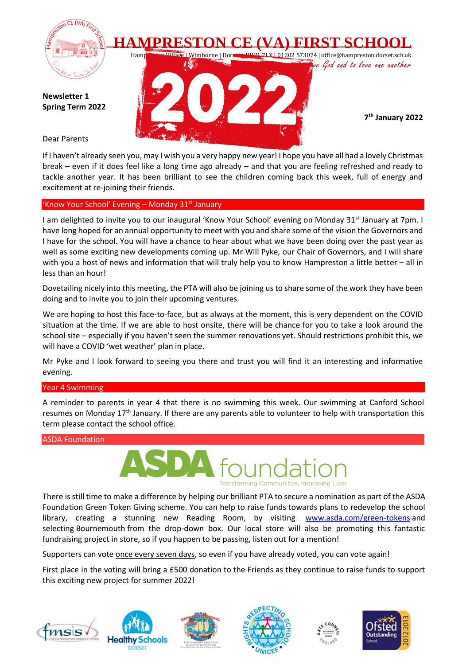

If I haven't already seen you, may I wish you a very happy new year! I hope you have all had a lovely Christmas break – even if it does feel like a long time ago already – and that you are feeling refreshed and ready to tackle another year. It has been brilliant to see the children coming back this week, full of energy and excitement at re-joining their friends.

## 'Know Your School' Evening – Monday  $31<sup>st</sup>$  January

I am delighted to invite you to our inaugural 'Know Your School' evening on Monday 31<sup>st</sup> January at 7pm. I have long hoped for an annual opportunity to meet with you and share some of the vision the Governors and I have for the school. You will have a chance to hear about what we have been doing over the past year as well as some exciting new developments coming up. Mr Will Pyke, our Chair of Governors, and I will share with you a host of news and information that will truly help you to know Hampreston a little better – all in less than an hour!

Dovetailing nicely into this meeting, the PTA will also be joining us to share some of the work they have been doing and to invite you to join their upcoming ventures.

We are hoping to host this face-to-face, but as always at the moment, this is very dependent on the COVID situation at the time. If we are able to host onsite, there will be chance for you to take a look around the school site – especially if you haven't seen the summer renovations yet. Should restrictions prohibit this, we will have a COVID 'wet weather' plan in place.

Mr Pyke and I look forward to seeing you there and trust you will find it an interesting and informative evening.

## Year 4 Swimming

A reminder to parents in year 4 that there is no swimming this week. Our swimming at Canford School resumes on Monday 17<sup>th</sup> January. If there are any parents able to volunteer to help with transportation this term please contact the school office.

## ASDA Foundation



There is still time to make a difference by helping our brilliant PTA to secure a nomination as part of the ASDA Foundation Green Token Giving scheme. You can help to raise funds towards plans to redevelop the school library, creating a stunning new Reading Room, by visiting [www.asda.com/green-tokens](http://www.asda.com/green-tokens) and selecting Bournemouth from the drop-down box. Our local store will also be promoting this fantastic fundraising project in store, so if you happen to be passing, listen out for a mention!

Supporters can vote once every seven days, so even if you have already voted, you can vote again!

First place in the voting will bring a £500 donation to the Friends as they continue to raise funds to support this exciting new project for summer 2022!









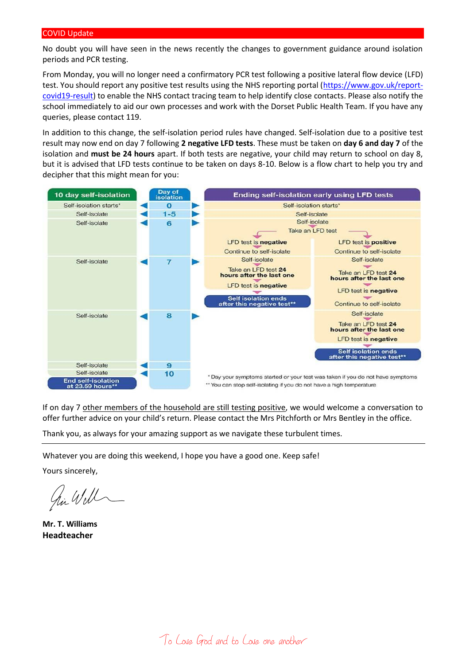No doubt you will have seen in the news recently the changes to government guidance around isolation periods and PCR testing.

From Monday, you will no longer need a confirmatory PCR test following a positive lateral flow device (LFD) test. You should report any positive test results using the NHS reporting portal [\(https://www.gov.uk/report](https://www.gov.uk/report-covid19-result)[covid19-result\)](https://www.gov.uk/report-covid19-result) to enable the NHS contact tracing team to help identify close contacts. Please also notify the school immediately to aid our own processes and work with the Dorset Public Health Team. If you have any queries, please contact 119.

In addition to this change, the self-isolation period rules have changed. Self-isolation due to a positive test result may now end on day 7 following **2 negative LFD tests**. These must be taken on **day 6 and day 7** of the isolation and **must be 24 hours** apart. If both tests are negative, your child may return to school on day 8, but it is advised that LFD tests continue to be taken on days 8-10. Below is a flow chart to help you try and decipher that this might mean for you:



If on day 7 other members of the household are still testing positive, we would welcome a conversation to offer further advice on your child's return. Please contact the Mrs Pitchforth or Mrs Bentley in the office.

Thank you, as always for your amazing support as we navigate these turbulent times.

Whatever you are doing this weekend, I hope you have a good one. Keep safe!

Yours sincerely,

in Will

**Mr. T. Williams Headteacher**

To Love God and to Love one another